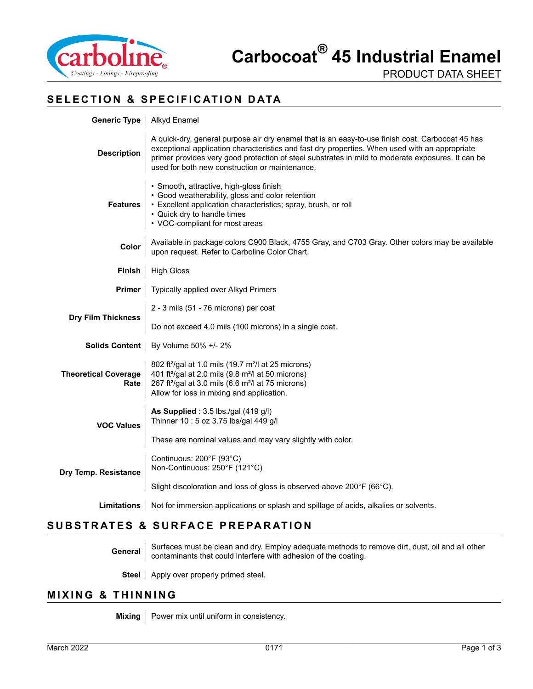

#### **SELECTION & SPECIFICATION DATA**

| Generic Type                        | Alkyd Enamel                                                                                                                                                                                                                                                                                                                                              |
|-------------------------------------|-----------------------------------------------------------------------------------------------------------------------------------------------------------------------------------------------------------------------------------------------------------------------------------------------------------------------------------------------------------|
| <b>Description</b>                  | A quick-dry, general purpose air dry enamel that is an easy-to-use finish coat. Carbocoat 45 has<br>exceptional application characteristics and fast dry properties. When used with an appropriate<br>primer provides very good protection of steel substrates in mild to moderate exposures. It can be<br>used for both new construction or maintenance. |
| <b>Features</b>                     | · Smooth, attractive, high-gloss finish<br>• Good weatherability, gloss and color retention<br>• Excellent application characteristics; spray, brush, or roll<br>• Quick dry to handle times<br>• VOC-compliant for most areas                                                                                                                            |
| Color                               | Available in package colors C900 Black, 4755 Gray, and C703 Gray. Other colors may be available<br>upon request. Refer to Carboline Color Chart.                                                                                                                                                                                                          |
| Finish                              | <b>High Gloss</b>                                                                                                                                                                                                                                                                                                                                         |
| Primer                              | Typically applied over Alkyd Primers                                                                                                                                                                                                                                                                                                                      |
| <b>Dry Film Thickness</b>           | 2 - 3 mils (51 - 76 microns) per coat                                                                                                                                                                                                                                                                                                                     |
|                                     | Do not exceed 4.0 mils (100 microns) in a single coat.                                                                                                                                                                                                                                                                                                    |
|                                     | <b>Solids Content</b>   By Volume 50% +/- 2%                                                                                                                                                                                                                                                                                                              |
| <b>Theoretical Coverage</b><br>Rate | 802 ft <sup>2</sup> /gal at 1.0 mils (19.7 m <sup>2</sup> /l at 25 microns)<br>401 ft <sup>2</sup> /gal at 2.0 mils (9.8 m <sup>2</sup> /l at 50 microns)<br>267 ft <sup>2</sup> /gal at 3.0 mils (6.6 m <sup>2</sup> /l at 75 microns)<br>Allow for loss in mixing and application.                                                                      |
| <b>VOC Values</b>                   | As Supplied: 3.5 lbs./gal (419 g/l)<br>Thinner 10: 5 oz 3.75 lbs/gal 449 g/l                                                                                                                                                                                                                                                                              |
|                                     | These are nominal values and may vary slightly with color.                                                                                                                                                                                                                                                                                                |
| Dry Temp. Resistance                | Continuous: 200°F (93°C)<br>Non-Continuous: 250°F (121°C)                                                                                                                                                                                                                                                                                                 |
|                                     | Slight discoloration and loss of gloss is observed above 200°F (66°C).                                                                                                                                                                                                                                                                                    |
| <b>Limitations</b>                  | Not for immersion applications or splash and spillage of acids, alkalies or solvents.                                                                                                                                                                                                                                                                     |

# **SUBSTRATES & SURFACE PREPARATION**

General Surfaces must be clean and dry. Employ adequate methods to remove dirt, dust, oil and all other<br>contaminants that could interfere with adhesion of the coating.

**Steel** | Apply over properly primed steel.

#### **MIXING & THINNING**

**Mixing** | Power mix until uniform in consistency.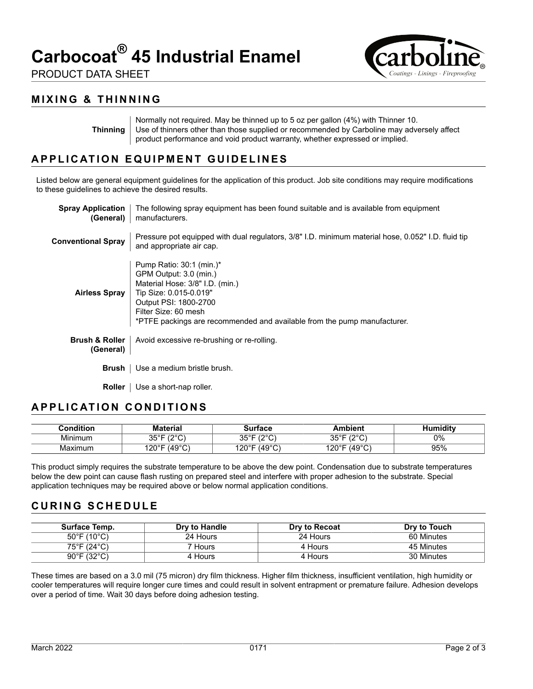# **Carbocoat® 45 Industrial Enamel**

PRODUCT DATA SHEET



#### **Thinning**

Normally not required. May be thinned up to 5 oz per gallon (4%) with Thinner 10. Use of thinners other than those supplied or recommended by Carboline may adversely affect product performance and void product warranty, whether expressed or implied.

# **APPLICATION EQUIPMENT GUIDELINES**

Listed below are general equipment guidelines for the application of this product. Job site conditions may require modifications to these guidelines to achieve the desired results.

| <b>Spray Application</b><br>(General)  | The following spray equipment has been found suitable and is available from equipment<br>manufacturers.                                                                                                                                        |
|----------------------------------------|------------------------------------------------------------------------------------------------------------------------------------------------------------------------------------------------------------------------------------------------|
| <b>Conventional Spray</b>              | Pressure pot equipped with dual regulators, 3/8" I.D. minimum material hose, 0.052" I.D. fluid tip<br>and appropriate air cap.                                                                                                                 |
| <b>Airless Spray</b>                   | Pump Ratio: $30:1$ (min.)*<br>GPM Output: 3.0 (min.)<br>Material Hose: 3/8" I.D. (min.)<br>Tip Size: 0.015-0.019"<br>Output PSI: 1800-2700<br>Filter Size: 60 mesh<br>*PTFE packings are recommended and available from the pump manufacturer. |
| <b>Brush &amp; Roller</b><br>(General) | Avoid excessive re-brushing or re-rolling.                                                                                                                                                                                                     |
| Brush                                  | Use a medium bristle brush.                                                                                                                                                                                                                    |
| Roller                                 | Use a short-nap roller.                                                                                                                                                                                                                        |

# **APPLICATION CONDITIONS**

| :ondition | Aaterial                                   | ∵ırtace                       | <b>\mbient</b>                                       | iditv |
|-----------|--------------------------------------------|-------------------------------|------------------------------------------------------|-------|
| Minimum   | 1000<br>ว⊏∘⊏<br>ັບ                         | 1000<br>つにっこ<br>$-$<br>ັ      | 1000<br>⊐∘⊐י<br>ັບປ<br>ັ<br>$\overline{\phantom{a}}$ | 0%    |
| Maximum   | $(40^{\circ}C)^{3}$<br>⊐∘∩יו<br>ັ<br>. د ب | $(49^{\circ}C)$<br>120°F<br>ັ | (49°C)<br>$120^{\circ}$ F                            | 95%   |

This product simply requires the substrate temperature to be above the dew point. Condensation due to substrate temperatures below the dew point can cause flash rusting on prepared steel and interfere with proper adhesion to the substrate. Special application techniques may be required above or below normal application conditions.

# **CURING SCHEDULE**

| Surface Temp.                    | Dry to Handle | Dry to Recoat | Dry to Touch |
|----------------------------------|---------------|---------------|--------------|
| $50^{\circ}$ F (10 $^{\circ}$ C) | 24 Hours      | 24 Hours      | 60 Minutes   |
| 75°F (24°C)                      | 7 Hours l     | 4 Hours       | 45 Minutes   |
| $90^{\circ}$ F (32 $^{\circ}$ C) | 4 Hours       | 4 Hours       | 30 Minutes   |

These times are based on a 3.0 mil (75 micron) dry film thickness. Higher film thickness, insufficient ventilation, high humidity or cooler temperatures will require longer cure times and could result in solvent entrapment or premature failure. Adhesion develops over a period of time. Wait 30 days before doing adhesion testing.